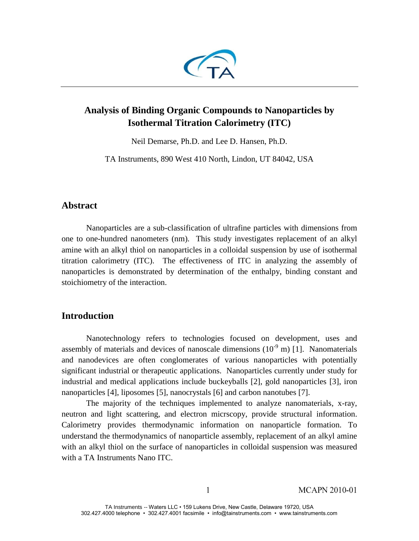

# **Analysis of Binding Organic Compounds to Nanoparticles by Isothermal Titration Calorimetry (ITC)**

Neil Demarse, Ph.D. and Lee D. Hansen, Ph.D.

TA Instruments, 890 West 410 North, Lindon, UT 84042, USA

# **Abstract**

Nanoparticles are a sub-classification of ultrafine particles with dimensions from one to one-hundred nanometers (nm). This study investigates replacement of an alkyl amine with an alkyl thiol on nanoparticles in a colloidal suspension by use of isothermal titration calorimetry (ITC). The effectiveness of ITC in analyzing the assembly of nanoparticles is demonstrated by determination of the enthalpy, binding constant and stoichiometry of the interaction.

# **Introduction**

Nanotechnology refers to technologies focused on development, uses and assembly of materials and devices of nanoscale dimensions  $(10^{-9} \text{ m})$  [1]. Nanomaterials and nanodevices are often conglomerates of various nanoparticles with potentially significant industrial or therapeutic applications. Nanoparticles currently under study for industrial and medical applications include buckeyballs [2], gold nanoparticles [3], iron nanoparticles [4], liposomes [5], nanocrystals [6] and carbon nanotubes [7].

The majority of the techniques implemented to analyze nanomaterials, x-ray, neutron and light scattering, and electron micrscopy, provide structural information. Calorimetry provides thermodynamic information on nanoparticle formation. To understand the thermodynamics of nanoparticle assembly, replacement of an alkyl amine with an alkyl thiol on the surface of nanoparticles in colloidal suspension was measured with a TA Instruments Nano ITC.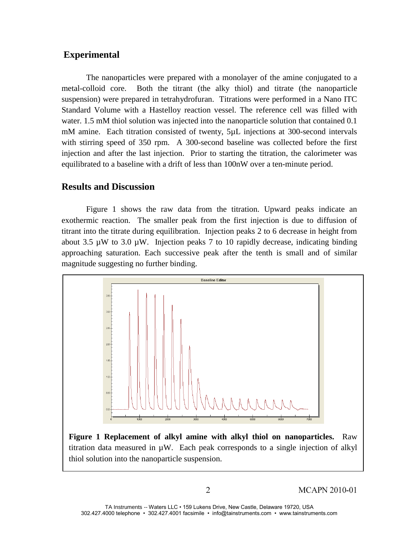## **Experimental**

The nanoparticles were prepared with a monolayer of the amine conjugated to a metal-colloid core. Both the titrant (the alky thiol) and titrate (the nanoparticle suspension) were prepared in tetrahydrofuran. Titrations were performed in a Nano ITC Standard Volume with a Hastelloy reaction vessel. The reference cell was filled with water. 1.5 mM thiol solution was injected into the nanoparticle solution that contained 0.1 mM amine. Each titration consisted of twenty, 5µL injections at 300-second intervals with stirring speed of 350 rpm. A 300-second baseline was collected before the first injection and after the last injection. Prior to starting the titration, the calorimeter was equilibrated to a baseline with a drift of less than 100nW over a ten-minute period.

### **Results and Discussion**

Figure 1 shows the raw data from the titration. Upward peaks indicate an exothermic reaction. The smaller peak from the first injection is due to diffusion of titrant into the titrate during equilibration. Injection peaks 2 to 6 decrease in height from about 3.5 µW to 3.0 µW. Injection peaks 7 to 10 rapidly decrease, indicating binding approaching saturation. Each successive peak after the tenth is small and of similar magnitude suggesting no further binding.



**Figure 1 Replacement of alkyl amine with alkyl thiol on nanoparticles.** Raw titration data measured in  $\mu$ W. Each peak corresponds to a single injection of alkyl thiol solution into the nanoparticle suspension.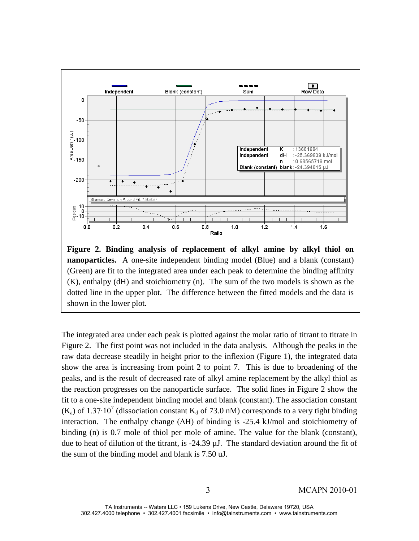

**Figure 2. Binding analysis of replacement of alkyl amine by alkyl thiol on nanoparticles.** A one-site independent binding model (Blue) and a blank (constant) (Green) are fit to the integrated area under each peak to determine the binding affinity (K), enthalpy (dH) and stoichiometry (n). The sum of the two models is shown as the dotted line in the upper plot. The difference between the fitted models and the data is shown in the lower plot.

The integrated area under each peak is plotted against the molar ratio of titrant to titrate in Figure 2. The first point was not included in the data analysis. Although the peaks in the raw data decrease steadily in height prior to the inflexion (Figure 1), the integrated data show the area is increasing from point 2 to point 7. This is due to broadening of the peaks, and is the result of decreased rate of alkyl amine replacement by the alkyl thiol as the reaction progresses on the nanoparticle surface. The solid lines in Figure 2 show the fit to a one-site independent binding model and blank (constant). The association constant (K<sub>a</sub>) of 1.37⋅10<sup>7</sup> (dissociation constant K<sub>d</sub> of 73.0 nM) corresponds to a very tight binding interaction. The enthalpy change  $(\Delta H)$  of binding is -25.4 kJ/mol and stoichiometry of binding (n) is 0.7 mole of thiol per mole of amine. The value for the blank (constant), due to heat of dilution of the titrant, is -24.39 µJ. The standard deviation around the fit of the sum of the binding model and blank is 7.50 uJ.